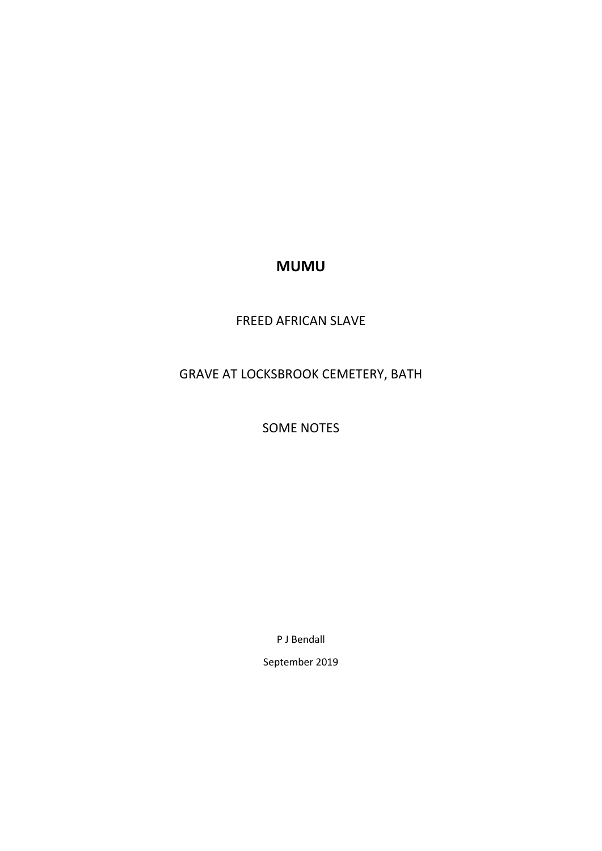## **MUMU**

## FREED AFRICAN SLAVE

# GRAVE AT LOCKSBROOK CEMETERY, BATH

SOME NOTES

P J Bendall

September 2019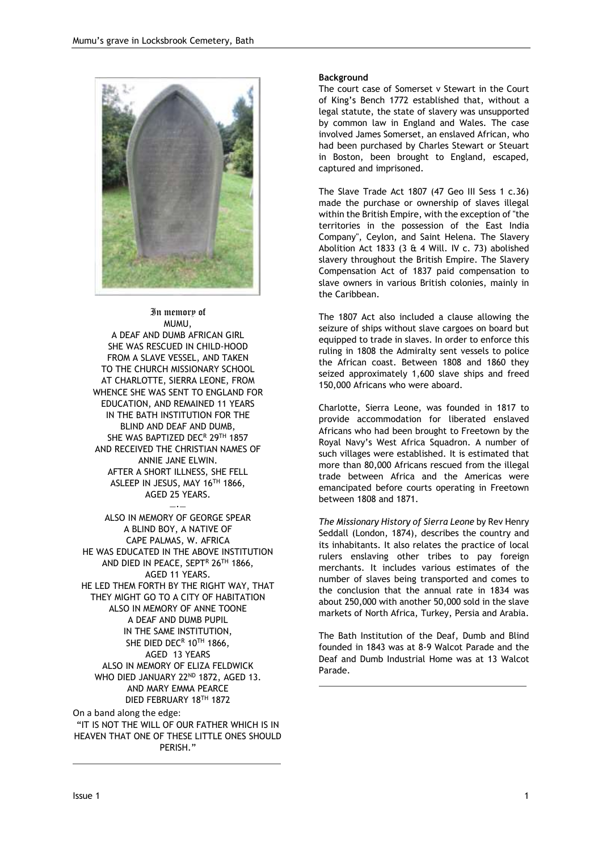

In memory of MUMU, A DEAF AND DUMB AFRICAN GIRL SHE WAS RESCUED IN CHILD-HOOD FROM A SLAVE VESSEL, AND TAKEN TO THE CHURCH MISSIONARY SCHOOL AT CHARLOTTE, SIERRA LEONE, FROM WHENCE SHE WAS SENT TO ENGLAND FOR EDUCATION, AND REMAINED 11 YEARS IN THE BATH INSTITUTION FOR THE BLIND AND DEAF AND DUMB, SHE WAS BAPTIZED DECR 29TH 1857 AND RECEIVED THE CHRISTIAN NAMES OF ANNIE JANE ELWIN. AFTER A SHORT ILLNESS, SHE FELL ASLEEP IN JESUS, MAY 16TH 1866, AGED 25 YEARS.

―·―

ALSO IN MEMORY OF GEORGE SPEAR A BLIND BOY, A NATIVE OF CAPE PALMAS, W. AFRICA HE WAS EDUCATED IN THE ABOVE INSTITUTION AND DIED IN PEACE, SEPTR 26TH 1866, AGED 11 YEARS. HE LED THEM FORTH BY THE RIGHT WAY, THAT THEY MIGHT GO TO A CITY OF HABITATION ALSO IN MEMORY OF ANNE TOONE A DEAF AND DUMB PUPIL IN THE SAME INSTITUTION, SHE DIED DECR 10TH 1866, AGED 13 YEARS ALSO IN MEMORY OF ELIZA FELDWICK WHO DIED JANUARY 22ND 1872, AGED 13. AND MARY EMMA PEARCE DIED FEBRUARY 18TH 1872

On a band along the edge: "IT IS NOT THE WILL OF OUR FATHER WHICH IS IN HEAVEN THAT ONE OF THESE LITTLE ONES SHOULD PERISH."

#### **Background**

The court case of Somerset v Stewart in the Court of King's Bench 1772 established that, without a legal statute, the state of slavery was unsupported by common law in England and Wales. The case involved James Somerset, an enslaved African, who had been purchased by Charles Stewart or Steuart in Boston, been brought to England, escaped, captured and imprisoned.

The Slave Trade Act 1807 (47 Geo III Sess 1 c.36) made the purchase or ownership of slaves illegal within the British Empire, with the exception of "the territories in the possession of the East India Company", Ceylon, and Saint Helena. The Slavery Abolition Act 1833 (3 & 4 Will. IV c. 73) abolished slavery throughout the British Empire. The Slavery Compensation Act of 1837 paid compensation to slave owners in various British colonies, mainly in the Caribbean.

The 1807 Act also included a clause allowing the seizure of ships without slave cargoes on board but equipped to trade in slaves. In order to enforce this ruling in 1808 the Admiralty sent vessels to police the African coast. Between 1808 and 1860 they seized approximately 1,600 slave ships and freed 150,000 Africans who were aboard.

Charlotte, Sierra Leone, was founded in 1817 to provide accommodation for liberated enslaved Africans who had been brought to Freetown by the Royal Navy's West Africa Squadron. A number of such villages were established. It is estimated that more than 80,000 Africans rescued from the illegal trade between Africa and the Americas were emancipated before courts operating in Freetown between 1808 and 1871.

*The Missionary History of Sierra Leone* by Rev Henry Seddall (London, 1874), describes the country and its inhabitants. It also relates the practice of local rulers enslaving other tribes to pay foreign merchants. It includes various estimates of the number of slaves being transported and comes to the conclusion that the annual rate in 1834 was about 250,000 with another 50,000 sold in the slave markets of North Africa, Turkey, Persia and Arabia.

The Bath Institution of the Deaf, Dumb and Blind founded in 1843 was at 8-9 Walcot Parade and the Deaf and Dumb Industrial Home was at 13 Walcot Parade.